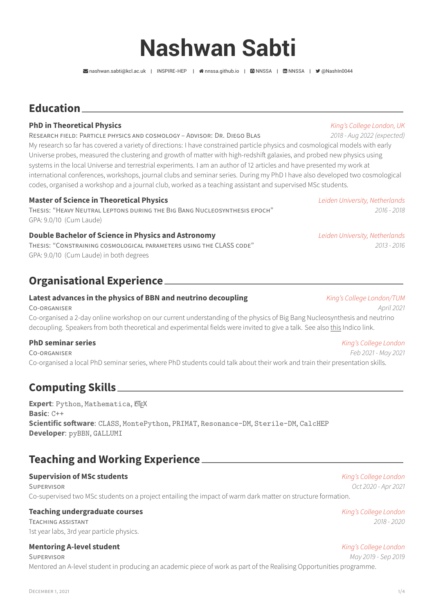# **Nashwan Sabti**

[nashwan.sabti@kcl.ac.uk](mailto:nashwan.sabti@kcl.ac.uk) | [INSPIRE-HEP](https://inspirehep.net/authors/1758386?ui-citation-summary=true) | [nnssa.github.io](http://nnssa.github.io) | [NNSSA](https://github.com/NNSSA) | [NNSSA](https://www.linkedin.com/in/NNSSA) | [@NashIn0044](https://twitter.com/@NashIn0044)

# **Education**

### **PhD in Theoretical Physics** *King's College London, UK*

### RESEARCH FIELD: PARTICLE PHYSICS AND COSMOLOGY – ADVISOR: DR. DIEGO BLAS *2018 - Aug 2022 (expected)*

My research so far has covered a variety of directions: I have constrained particle physics and cosmological models with early Universe probes, measured the clustering and growth of matter with high-redshift galaxies, and probed new physics using systems in the local Universe and terrestrial experiments. I am an author of 12 articles and have presented my work at international conferences, workshops, journal clubs and seminar series. During my PhD I have also developed two cosmological codes, organised a workshop and a journal club, worked as a teaching assistant and supervised MSc students.

### **Master of Science in Theoretical Physics** *Leiden University, Netherlands*

THESIS: "HEAVY NEUTRAL LEPTONS DURING THE BIG BANG NUCLEOSYNTHESIS EPOCH" *2016 - 2018* GPA: 9.0/10 (Cum Laude)

### **Double Bachelor of Science in Physics and Astronomy** *Leiden University, Netherlands*

THESIS: "CONSTRAINING COSMOLOGICAL PARAMETERS USING THE CLASS CODE" *2013 - 2016* GPA: 9.0/10 (Cum Laude) in both degrees

# **Organisational Experience**

### **Latest advances in the physics of BBN and neutrino decoupling** *King's College London/TUM*

CO-ORGANISER *April 2021* Co-organised a 2-day online workshop on our current understanding of the physics of Big Bang Nucleosynthesis and neutrino decoupling. Speakers from both theoretical and experimental fields were invited to give a talk. See also [this](https://indico.ph.tum.de/event/6798/) Indico link.

### **PhD seminar series** *King's College London*

CO-ORGANISER *Feb 2021 - May 2021* Co-organised a local PhD seminar series, where PhD students could talk about their work and train their presentation skills.

## **Computing Skills**

**Expert: Python, Mathematica, KTFX Basic**: C++ **Scientific software**: [CLASS](https://github.com/lesgourg/class_public), [MontePython](https://github.com/brinckmann/montepython_public), [PRIMAT](http://www2.iap.fr/users/pitrou/primat.htm), [Resonance-DM](https://github.com/sbriglie/resonance-dm), [Sterile-DM](https://github.com/ntveem/sterile-dm), [CalcHEP](https://theory.sinp.msu.ru/~pukhov/calchep.html) **Developer**: [pyBBN](https://github.com/ckald/pyBBN), [GALLUMI](https://github.com/NNSSA/GALLUMI_public)

# **Teaching and Working Experience**

### **Supervision of MSc students** *King's College London*

SUPERVISOR *Oct 2020 - Apr 2021* Co-supervised two MSc students on a project entailing the impact of warm dark matter on structure formation.

TEACHING ASSISTANT *2018 - 2020* 1st year labs, 3rd year particle physics.

### **Mentoring A-level student** *King's College London*

SUPERVISOR *May 2019 - Sep 2019* Mentored an A-level student in producing an academic piece of work as part of the Realising Opportunities programme.

**Teaching undergraduate courses** *King's College London*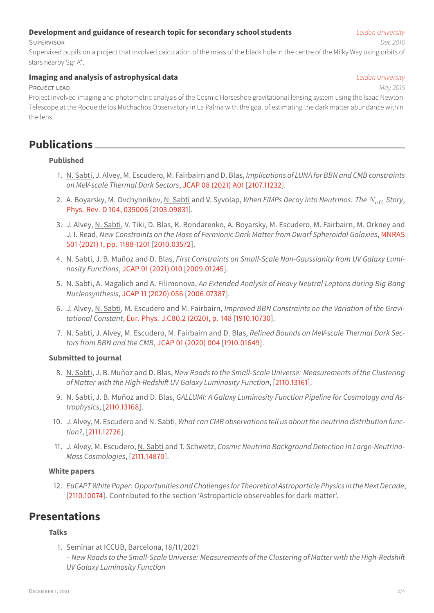# stars nearby Sgr A\*.

## **Imaging and analysis of astrophysical data** *Leiden University*

## PROJECT LEAD *May 2015*

Project involved imaging and photometric analysis of the Cosmic Horseshoe gravitational lensing system using the Isaac Newton Telescope at the Roque de los Muchachos Observatory in La Palma with the goal of estimating the dark matter abundance within the lens.

SUPERVISOR *Dec 2016* Supervised pupils on a project that involved calculation of the mass of the black hole in the centre of the Milky Way using orbits of

# **Publications**

## **Published**

- 1. N. Sabti, J. Alvey, M. Escudero, M. Fairbairn and D. Blas, *Implications of LUNA for BBN and CMB constraints on MeV-scale Thermal Dark Sectors*, [JCAP 08 \(2021\) A01](https://iopscience.iop.org/article/10.1088/1475-7516/2021/08/A01) [\[2107.11232](https://arxiv.org/abs/2107.11232)].
- 2. A. Boyarsky, M. Ovchynnikov, N. Sabti and V. Syvolap, *When FIMPs Decay into Neutrinos: The*  $N_{\text{eff}}$  *Story*, [Phys. Rev. D 104, 035006](https://journals.aps.org/prd/abstract/10.1103/PhysRevD.104.035006) [[2103.09831\]](https://arxiv.org/abs/2103.09831).
- 3. J. Alvey, N. Sabti, V. Tiki, D. Blas, K. Bondarenko, A. Boyarsky, M. Escudero, M. Fairbairn, M. Orkney and J. I. Read, *New Constraints on the Mass of Fermionic Dark Matter from Dwarf Spheroidal Galaxies*, [MNRAS](https://academic.oup.com/mnras/article-abstract/501/1/1188/5998254?redirectedFrom=fulltext) [501 \(2021\) 1, pp. 1188-1201](https://academic.oup.com/mnras/article-abstract/501/1/1188/5998254?redirectedFrom=fulltext) [\[2010.03572\]](https://arxiv.org/abs/2010.03572).
- 4. N. Sabti, J. B. Muñoz and D. Blas, *First Constraints on Small-Scale Non-Gaussianity from UV Galaxy Luminosity Functions*, [JCAP 01 \(2021\) 010](https://iopscience.iop.org/article/10.1088/1475-7516/2021/01/010) [[2009.01245](https://arxiv.org/abs/2009.01245)].
- 5. N. Sabti, A. Magalich and A. Filimonova, *An Extended Analysis of Heavy Neutral Leptons during Big Bang Nucleosynthesis*, [JCAP 11 \(2020\) 056](https://iopscience.iop.org/article/10.1088/1475-7516/2020/11/056) [[2006.07387](https://arxiv.org/abs/2006.07387)].
- 6. J. Alvey, N. Sabti, M. Escudero and M. Fairbairn, *Improved BBN Constraints on the Variation of the Gravitational Constant*, [Eur. Phys. J.C80.2 \(2020\), p. 148](https://link.springer.com/article/10.1140%2Fepjc%2Fs10052-020-7727-y) [[1910.10730](https://arxiv.org/abs/1910.10730)].
- 7. N. Sabti, J. Alvey, M. Escudero, M. Fairbairn and D. Blas, *Refined Bounds on MeV-scale Thermal Dark Sectors from BBN and the CMB*, [JCAP 01 \(2020\) 004](https://iopscience.iop.org/article/10.1088/1475-7516/2020/01/004) [\[1910.01649](https://arxiv.org/abs/1910.01649)].

## **Submitted to journal**

- 8. N. Sabti, J. B. Muñoz and D. Blas, *New Roads to the Small-Scale Universe: Measurements of the Clustering of Matter with the High-Redshift UV Galaxy Luminosity Function*,[[2110.13161](https://arxiv.org/abs/2110.13161)].
- 9. N. Sabti, J. B. Muñoz and D. Blas, *GALLUMI: A Galaxy Luminosity Function Pipeline for Cosmology and Astrophysics*, [\[2110.13168\]](https://arxiv.org/abs/2110.13168).
- 10. J. Alvey, M. Escudero and N. Sabti, *What can CMB observations tell us about the neutrino distribution function?*, [\[2111.12726\]](https://arxiv.org/abs/2111.12726).
- 11. J. Alvey, M. Escudero, N. Sabti and T. Schwetz, *Cosmic Neutrino Background Detection In Large-Neutrino-Mass Cosmologies*, [\[2111.14870\]](https://arxiv.org/abs/2111.14870).

## **White papers**

12. *EuCAPT White Paper: Opportunities and Challengesfor Theoretical Astroparticle Physics in the Next Decade*, [\[2110.10074](https://arxiv.org/abs/2110.10074)]. Contributed to the section 'Astroparticle observables for dark matter'.

# **Presentations**

## **Talks**

- 1. Seminar at ICCUB, Barcelona, 18/11/2021
- *New Roads to the Small-Scale Universe: Measurements of the Clustering of Matter with the High-Redshift UV Galaxy Luminosity Function*

## **Development and guidance of research topic for secondary school students** *Leiden University*

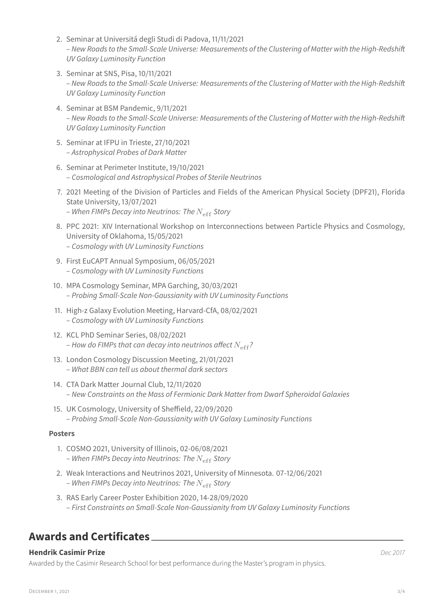- 2. Seminar at Universitá degli Studi di Padova, 11/11/2021 – *New Roads to the Small-Scale Universe: Measurements of the Clustering of Matter with the High-Redshift UV Galaxy Luminosity Function*
- 3. Seminar at SNS, Pisa, 10/11/2021 – *New Roads to the Small-Scale Universe: Measurements of the Clustering of Matter with the High-Redshift UV Galaxy Luminosity Function*
- 4. Seminar at BSM Pandemic, 9/11/2021 – *New Roads to the Small-Scale Universe: Measurements of the Clustering of Matter with the High-Redshift UV Galaxy Luminosity Function*
- 5. Seminar at IFPU in Trieste, 27/10/2021 – *Astrophysical Probes of Dark Matter*
- 6. Seminar at Perimeter Institute, 19/10/2021 – *Cosmological and Astrophysical Probes of Sterile Neutrinos*
- 7. 2021 Meeting of the Division of Particles and Fields of the American Physical Society (DPF21), Florida State University, 13/07/2021 – When FIMPs Decay into Neutrinos: The  $N_{\text{eff}}$  Story
- 8. PPC 2021: XIV International Workshop on Interconnections between Particle Physics and Cosmology, University of Oklahoma, 15/05/2021 – *Cosmology with UV Luminosity Functions*
- 9. First EuCAPT Annual Symposium, 06/05/2021 – *Cosmology with UV Luminosity Functions*
- 10. MPA Cosmology Seminar, MPA Garching, 30/03/2021 – *Probing Small-Scale Non-Gaussianity with UV Luminosity Functions*
- 11. High-z Galaxy Evolution Meeting, Harvard-CfA, 08/02/2021 – *Cosmology with UV Luminosity Functions*
- 12. KCL PhD Seminar Series, 08/02/2021 – How do FIMPs that can decay into neutrinos affect  $N_{\rm eff}$ ?
- 13. London Cosmology Discussion Meeting, 21/01/2021 – *What BBN can tell us about thermal dark sectors*
- 14. CTA Dark Matter Journal Club, 12/11/2020 – *New Constraints on the Mass of Fermionic Dark Matter from Dwarf Spheroidal Galaxies*
- 15. UK Cosmology, University of Sheffield, 22/09/2020 – *Probing Small-Scale Non-Gaussianity with UV Galaxy Luminosity Functions*

## **Posters**

- 1. COSMO 2021, University of Illinois, 02-06/08/2021 – When FIMPs Decay into Neutrinos: The N<sub>eff</sub> Story
- 2. Weak Interactions and Neutrinos 2021, University of Minnesota. 07-12/06/2021 – When FIMPs Decay into Neutrinos: The  $N_{\text{eff}}$  Story
- 3. RAS Early Career Poster Exhibition 2020, 14-28/09/2020 – *First Constraints on Small-Scale Non-Gaussianity from UV Galaxy Luminosity Functions*

# **Awards and Certificates**

## **Hendrik Casimir Prize** *Dec 2017*

Awarded by the Casimir Research School for best performance during the Master's program in physics.